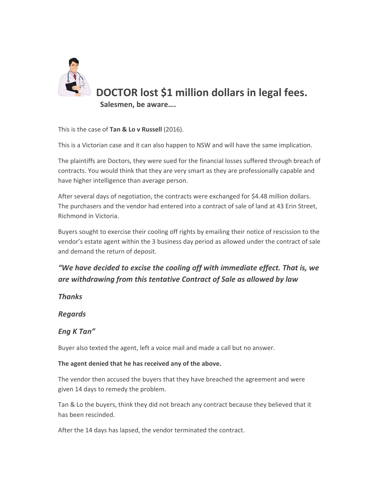

This is the case of **Tan & Lo v Russell** (2016).

This is a Victorian case and it can also happen to NSW and will have the same implication.

The plaintiffs are Doctors, they were sued for the financial losses suffered through breach of contracts. You would think that they are very smart as they are professionally capable and have higher intelligence than average person.

After several days of negotiation, the contracts were exchanged for \$4.48 million dollars. The purchasers and the vendor had entered into a contract of sale of land at 43 Erin Street, Richmond in Victoria.

Buyers sought to exercise their cooling off rights by emailing their notice of rescission to the vendor's estate agent within the 3 business day period as allowed under the contract of sale and demand the return of deposit.

## *"We have decided to excise the cooling off with immediate effect. That is, we are withdrawing from this tentative Contract of Sale as allowed by law*

*Thanks*

*Regards*

## *Eng K Tan"*

Buyer also texted the agent, left a voice mail and made a call but no answer.

## **The agent denied that he has received any of the above.**

The vendor then accused the buyers that they have breached the agreement and were given 14 days to remedy the problem.

Tan & Lo the buyers, think they did not breach any contract because they believed that it has been rescinded.

After the 14 days has lapsed, the vendor terminated the contract.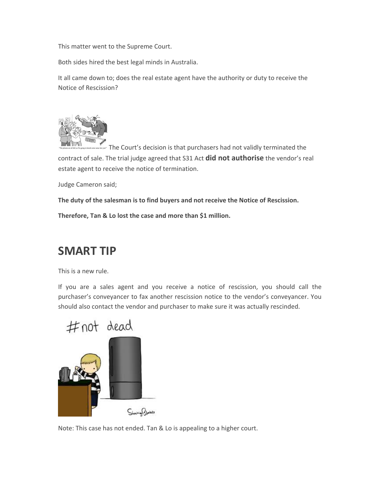This matter went to the Supreme Court.

Both sides hired the best legal minds in Australia.

It all came down to; does the real estate agent have the authority or duty to receive the Notice of Rescission?



The Court's decision is that purchasers had not validly terminated the contract of sale. The trial judge agreed that S31 Act **did not authorise** the vendor's real estate agent to receive the notice of termination.

Judge Cameron said;

**The duty of the salesman is to find buyers and not receive the Notice of Rescission.**

**Therefore, Tan & Lo lost the case and more than \$1 million.**

## **SMART TIP**

This is a new rule.

If you are a sales agent and you receive a notice of rescission, you should call the purchaser's conveyancer to fax another rescission notice to the vendor's conveyancer. You should also contact the vendor and purchaser to make sure it was actually rescinded.



Note: This case has not ended. Tan & Lo is appealing to a higher court.